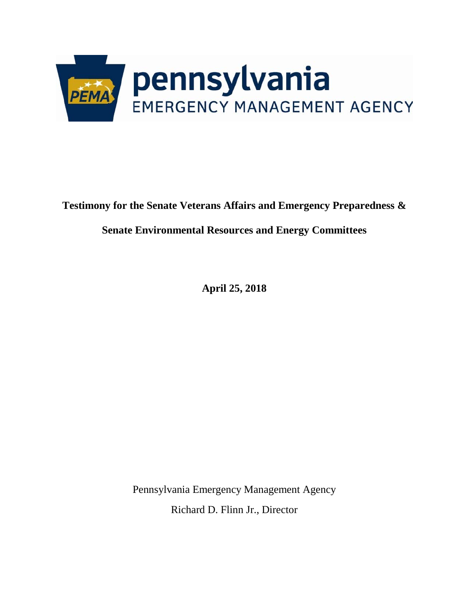

**Testimony for the Senate Veterans Affairs and Emergency Preparedness &** 

**Senate Environmental Resources and Energy Committees**

**April 25, 2018**

Pennsylvania Emergency Management Agency Richard D. Flinn Jr., Director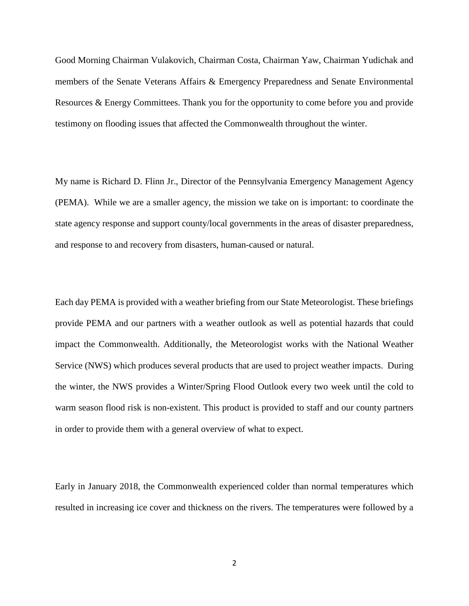Good Morning Chairman Vulakovich, Chairman Costa, Chairman Yaw, Chairman Yudichak and members of the Senate Veterans Affairs & Emergency Preparedness and Senate Environmental Resources & Energy Committees. Thank you for the opportunity to come before you and provide testimony on flooding issues that affected the Commonwealth throughout the winter.

My name is Richard D. Flinn Jr., Director of the Pennsylvania Emergency Management Agency (PEMA). While we are a smaller agency, the mission we take on is important: to coordinate the state agency response and support county/local governments in the areas of disaster preparedness, and response to and recovery from disasters, human-caused or natural.

Each day PEMA is provided with a weather briefing from our State Meteorologist. These briefings provide PEMA and our partners with a weather outlook as well as potential hazards that could impact the Commonwealth. Additionally, the Meteorologist works with the National Weather Service (NWS) which produces several products that are used to project weather impacts. During the winter, the NWS provides a Winter/Spring Flood Outlook every two week until the cold to warm season flood risk is non-existent. This product is provided to staff and our county partners in order to provide them with a general overview of what to expect.

Early in January 2018, the Commonwealth experienced colder than normal temperatures which resulted in increasing ice cover and thickness on the rivers. The temperatures were followed by a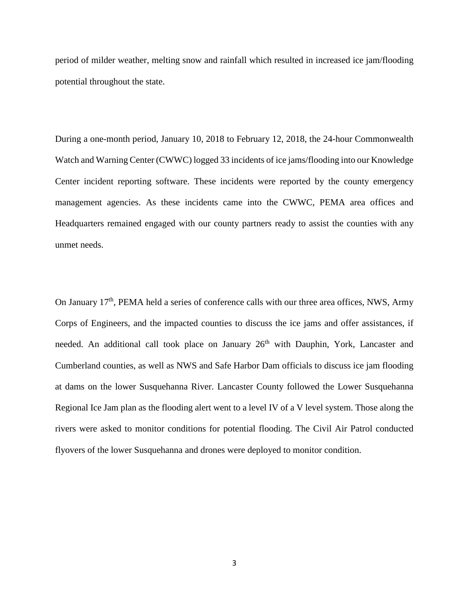period of milder weather, melting snow and rainfall which resulted in increased ice jam/flooding potential throughout the state.

During a one-month period, January 10, 2018 to February 12, 2018, the 24-hour Commonwealth Watch and Warning Center (CWWC) logged 33 incidents of ice jams/flooding into our Knowledge Center incident reporting software. These incidents were reported by the county emergency management agencies. As these incidents came into the CWWC, PEMA area offices and Headquarters remained engaged with our county partners ready to assist the counties with any unmet needs.

On January  $17<sup>th</sup>$ , PEMA held a series of conference calls with our three area offices, NWS, Army Corps of Engineers, and the impacted counties to discuss the ice jams and offer assistances, if needed. An additional call took place on January 26<sup>th</sup> with Dauphin, York, Lancaster and Cumberland counties, as well as NWS and Safe Harbor Dam officials to discuss ice jam flooding at dams on the lower Susquehanna River. Lancaster County followed the Lower Susquehanna Regional Ice Jam plan as the flooding alert went to a level IV of a V level system. Those along the rivers were asked to monitor conditions for potential flooding. The Civil Air Patrol conducted flyovers of the lower Susquehanna and drones were deployed to monitor condition.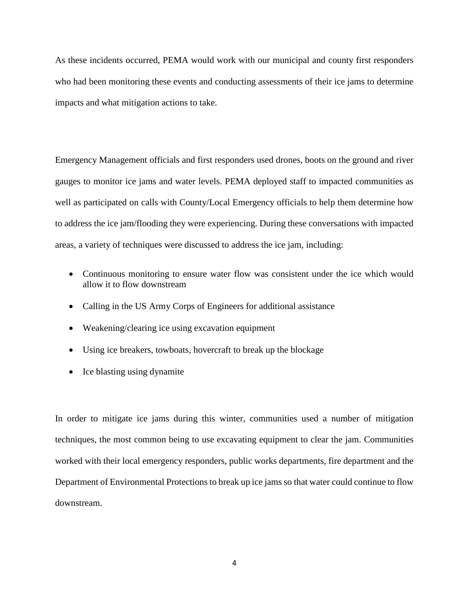As these incidents occurred, PEMA would work with our municipal and county first responders who had been monitoring these events and conducting assessments of their ice jams to determine impacts and what mitigation actions to take.

Emergency Management officials and first responders used drones, boots on the ground and river gauges to monitor ice jams and water levels. PEMA deployed staff to impacted communities as well as participated on calls with County/Local Emergency officials to help them determine how to address the ice jam/flooding they were experiencing. During these conversations with impacted areas, a variety of techniques were discussed to address the ice jam, including:

- Continuous monitoring to ensure water flow was consistent under the ice which would allow it to flow downstream
- Calling in the US Army Corps of Engineers for additional assistance
- Weakening/clearing ice using excavation equipment
- Using ice breakers, towboats, hovercraft to break up the blockage
- Ice blasting using dynamite

In order to mitigate ice jams during this winter, communities used a number of mitigation techniques, the most common being to use excavating equipment to clear the jam. Communities worked with their local emergency responders, public works departments, fire department and the Department of Environmental Protections to break up ice jams so that water could continue to flow downstream.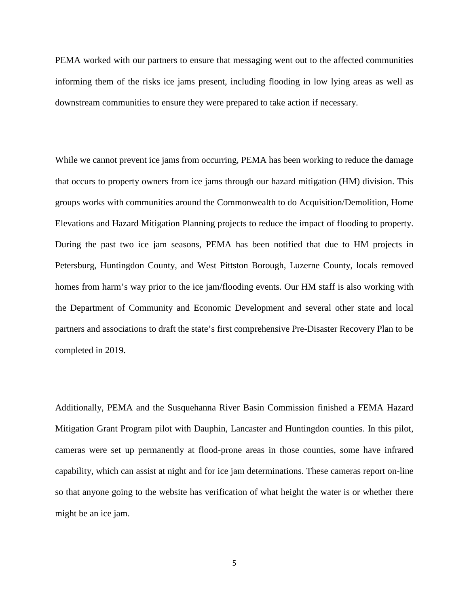PEMA worked with our partners to ensure that messaging went out to the affected communities informing them of the risks ice jams present, including flooding in low lying areas as well as downstream communities to ensure they were prepared to take action if necessary.

While we cannot prevent ice jams from occurring, PEMA has been working to reduce the damage that occurs to property owners from ice jams through our hazard mitigation (HM) division. This groups works with communities around the Commonwealth to do Acquisition/Demolition, Home Elevations and Hazard Mitigation Planning projects to reduce the impact of flooding to property. During the past two ice jam seasons, PEMA has been notified that due to HM projects in Petersburg, Huntingdon County, and West Pittston Borough, Luzerne County, locals removed homes from harm's way prior to the ice jam/flooding events. Our HM staff is also working with the Department of Community and Economic Development and several other state and local partners and associations to draft the state's first comprehensive Pre-Disaster Recovery Plan to be completed in 2019.

Additionally, PEMA and the Susquehanna River Basin Commission finished a FEMA Hazard Mitigation Grant Program pilot with Dauphin, Lancaster and Huntingdon counties. In this pilot, cameras were set up permanently at flood-prone areas in those counties, some have infrared capability, which can assist at night and for ice jam determinations. These cameras report on-line so that anyone going to the website has verification of what height the water is or whether there might be an ice jam.